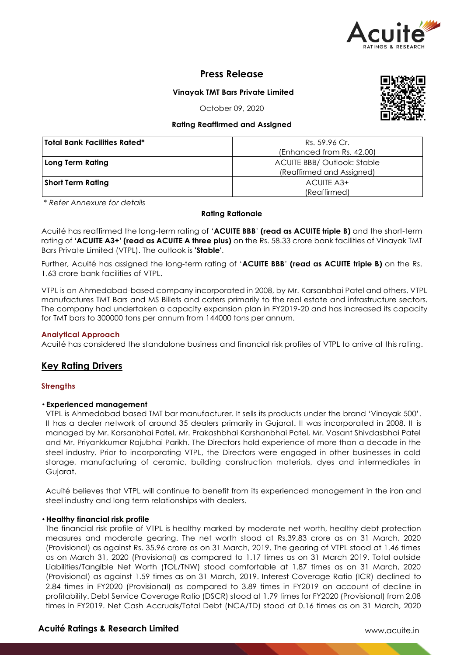

## **Press Release**

**Vinayak TMT Bars Private Limited**

October 09, 2020

## **Rating Reaffirmed and Assigned**

| <b>Total Bank Facilities Rated*</b> | Rs. 59.96 Cr.                      |  |  |
|-------------------------------------|------------------------------------|--|--|
|                                     | (Enhanced from Rs. 42.00)          |  |  |
| Long Term Rating                    | <b>ACUITE BBB/ Outlook: Stable</b> |  |  |
|                                     | (Reaffirmed and Assigned)          |  |  |
| <b>Short Term Rating</b>            | ACUITE A3+                         |  |  |
|                                     | (Reaffirmed)                       |  |  |

*\* Refer Annexure for details*

## **Rating Rationale**

Acuité has reaffirmed the long-term rating of '**ACUITE BBB**' **(read as ACUITE triple B)** and the short-term rating of **'ACUITE A3+' (read as ACUITE A three plus)** on the Rs. 58.33 crore bank facilities of Vinayak TMT Bars Private Limited (VTPL). The outlook is **'Stable'**.

Further, Acuité has assigned the long-term rating of '**ACUITE BBB**' **(read as ACUITE triple B)** on the Rs. 1.63 crore bank facilities of VTPL.

VTPL is an Ahmedabad-based company incorporated in 2008, by Mr. Karsanbhai Patel and others. VTPL manufactures TMT Bars and MS Billets and caters primarily to the real estate and infrastructure sectors. The company had undertaken a capacity expansion plan in FY2019-20 and has increased its capacity for TMT bars to 300000 tons per annum from 144000 tons per annum.

## **Analytical Approach**

Acuité has considered the standalone business and financial risk profiles of VTPL to arrive at this rating.

## **Key Rating Drivers**

#### **Strengths**

#### • **Experienced management**

VTPL is Ahmedabad based TMT bar manufacturer. It sells its products under the brand 'Vinayak 500'. It has a dealer network of around 35 dealers primarily in Gujarat. It was incorporated in 2008. It is managed by Mr. Karsanbhai Patel, Mr. Prakashbhai Karshanbhai Patel, Mr. Vasant Shivdasbhai Patel and Mr. Priyankkumar Rajubhai Parikh. The Directors hold experience of more than a decade in the steel industry. Prior to incorporating VTPL, the Directors were engaged in other businesses in cold storage, manufacturing of ceramic, building construction materials, dyes and intermediates in Gujarat.

Acuité believes that VTPL will continue to benefit from its experienced management in the iron and steel industry and long term relationships with dealers.

#### • **Healthy financial risk profile**

The financial risk profile of VTPL is healthy marked by moderate net worth, healthy debt protection measures and moderate gearing. The net worth stood at Rs.39.83 crore as on 31 March, 2020 (Provisional) as against Rs. 35.96 crore as on 31 March, 2019. The gearing of VTPL stood at 1.46 times as on March 31, 2020 (Provisional) as compared to 1.17 times as on 31 March 2019. Total outside Liabilities/Tangible Net Worth (TOL/TNW) stood comfortable at 1.87 times as on 31 March, 2020 (Provisional) as against 1.59 times as on 31 March, 2019. Interest Coverage Ratio (ICR) declined to 2.84 times in FY2020 (Provisional) as compared to 3.89 times in FY2019 on account of decline in profitability. Debt Service Coverage Ratio (DSCR) stood at 1.79 times for FY2020 (Provisional) from 2.08 times in FY2019. Net Cash Accruals/Total Debt (NCA/TD) stood at 0.16 times as on 31 March, 2020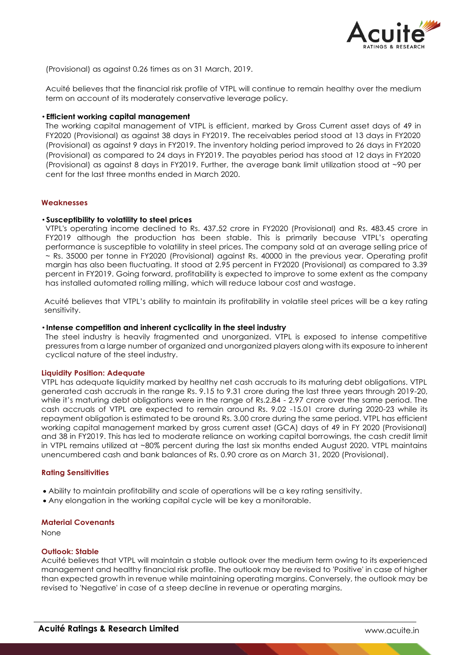

(Provisional) as against 0.26 times as on 31 March, 2019.

Acuité believes that the financial risk profile of VTPL will continue to remain healthy over the medium term on account of its moderately conservative leverage policy.

#### • **Efficient working capital management**

The working capital management of VTPL is efficient, marked by Gross Current asset days of 49 in FY2020 (Provisional) as against 38 days in FY2019. The receivables period stood at 13 days in FY2020 (Provisional) as against 9 days in FY2019. The inventory holding period improved to 26 days in FY2020 (Provisional) as compared to 24 days in FY2019. The payables period has stood at 12 days in FY2020 (Provisional) as against 8 days in FY2019. Further, the average bank limit utilization stood at ~90 per cent for the last three months ended in March 2020.

#### **Weaknesses**

#### • **Susceptibility to volatility to steel prices**

VTPL's operating income declined to Rs. 437.52 crore in FY2020 (Provisional) and Rs. 483.45 crore in FY2019 although the production has been stable. This is primarily because VTPL's operating performance is susceptible to volatility in steel prices. The company sold at an average selling price of ~ Rs. 35000 per tonne in FY2020 (Provisional) against Rs. 40000 in the previous year. Operating profit margin has also been fluctuating. It stood at 2.95 percent in FY2020 (Provisional) as compared to 3.39 percent in FY2019. Going forward, profitability is expected to improve to some extent as the company has installed automated rolling milling, which will reduce labour cost and wastage.

Acuité believes that VTPL's ability to maintain its profitability in volatile steel prices will be a key rating sensitivity.

#### • **Intense competition and inherent cyclicality in the steel industry**

The steel industry is heavily fragmented and unorganized. VTPL is exposed to intense competitive pressures from a large number of organized and unorganized players along with its exposure to inherent cyclical nature of the steel industry.

#### **Liquidity Position: Adequate**

VTPL has adequate liquidity marked by healthy net cash accruals to its maturing debt obligations. VTPL generated cash accruals in the range Rs. 9.15 to 9.31 crore during the last three years through 2019-20, while it's maturing debt obligations were in the range of Rs.2.84 - 2.97 crore over the same period. The cash accruals of VTPL are expected to remain around Rs. 9.02 -15.01 crore during 2020-23 while its repayment obligation is estimated to be around Rs. 3.00 crore during the same period. VTPL has efficient working capital management marked by gross current asset (GCA) days of 49 in FY 2020 (Provisional) and 38 in FY2019. This has led to moderate reliance on working capital borrowings, the cash credit limit in VTPL remains utilized at ~80% percent during the last six months ended August 2020. VTPL maintains unencumbered cash and bank balances of Rs. 0.90 crore as on March 31, 2020 (Provisional).

#### **Rating Sensitivities**

- Ability to maintain profitability and scale of operations will be a key rating sensitivity.
- Any elongation in the working capital cycle will be key a monitorable.

#### **Material Covenants**

None

#### **Outlook: Stable**

Acuité believes that VTPL will maintain a stable outlook over the medium term owing to its experienced management and healthy financial risk profile. The outlook may be revised to 'Positive' in case of higher than expected growth in revenue while maintaining operating margins. Conversely, the outlook may be revised to 'Negative' in case of a steep decline in revenue or operating margins.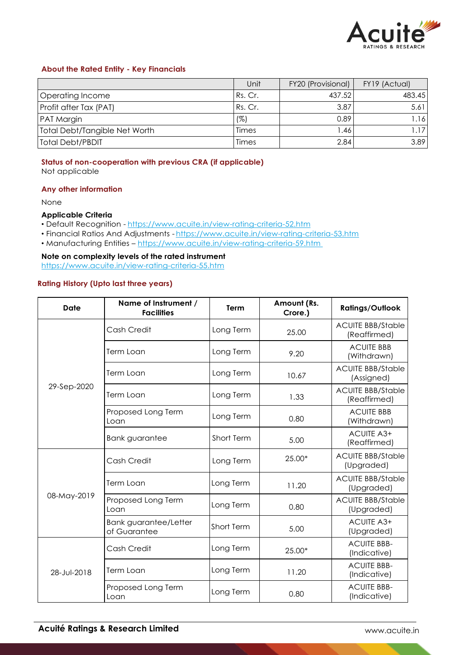

#### **About the Rated Entity - Key Financials**

|                               | Unit    | FY20 (Provisional) | FY19 (Actual) |
|-------------------------------|---------|--------------------|---------------|
| Operating Income              | Rs. Cr. | 437.52             | 483.45        |
| Profit after Tax (PAT)        | Rs. Cr. | 3.87               | 5.61          |
| PAT Margin                    | (%)     | 0.89               | 1.16          |
| Total Debt/Tangible Net Worth | Times   | 1.46               |               |
| Total Debt/PBDIT              | Times   | 2.84               | 3.89          |

# **Status of non-cooperation with previous CRA (if applicable)**

Not applicable

## **Any other information**

None

## **Applicable Criteria**

- Default Recognition https://www.acuite.in/view-rating-criteria-52.htm
- Financial Ratios And Adjustments https://www.acuite.in/view-rating-criteria-53.htm
- Manufacturing Entities https://www.acuite.in/view-rating-criteria-59.htm

**Note on complexity levels of the rated instrument** https://www.acuite.in/view-rating-criteria-55.htm

## **Rating History (Upto last three years)**

| Date        | Name of Instrument /<br><b>Facilities</b> | Term       | Amount (Rs.<br>Crore.) | <b>Ratings/Outlook</b>                   |
|-------------|-------------------------------------------|------------|------------------------|------------------------------------------|
| 29-Sep-2020 | Cash Credit                               | Long Term  | 25.00                  | <b>ACUITE BBB/Stable</b><br>(Reaffirmed) |
|             | Term Loan                                 | Long Term  | 9.20                   | <b>ACUITE BBB</b><br>(Withdrawn)         |
|             | Term Loan                                 | Long Term  | 10.67                  | <b>ACUITE BBB/Stable</b><br>(Assigned)   |
|             | Term Loan                                 | Long Term  | 1.33                   | <b>ACUITE BBB/Stable</b><br>(Reaffirmed) |
|             | Proposed Long Term<br>Loan                | Long Term  | 0.80                   | <b>ACUITE BBB</b><br>(Withdrawn)         |
|             | <b>Bank guarantee</b>                     | Short Term | 5.00                   | <b>ACUITE A3+</b><br>(Reaffirmed)        |
| 08-May-2019 | Cash Credit                               | Long Term  | 25.00*                 | <b>ACUITE BBB/Stable</b><br>(Upgraded)   |
|             | Term Loan                                 | Long Term  | 11.20                  | <b>ACUITE BBB/Stable</b><br>(Upgraded)   |
|             | Proposed Long Term<br>Loan                | Long Term  | 0.80                   | <b>ACUITE BBB/Stable</b><br>(Upgraded)   |
|             | Bank guarantee/Letter<br>of Guarantee     | Short Term | 5.00                   | ACUITE A3+<br>(Upgraded)                 |
| 28-Jul-2018 | Cash Credit                               | Long Term  | 25.00*                 | <b>ACUITE BBB-</b><br>(Indicative)       |
|             | Term Loan                                 | Long Term  | 11.20                  | <b>ACUITE BBB-</b><br>(Indicative)       |
|             | Proposed Long Term<br>Loan                | Long Term  | 0.80                   | <b>ACUITE BBB-</b><br>(Indicative)       |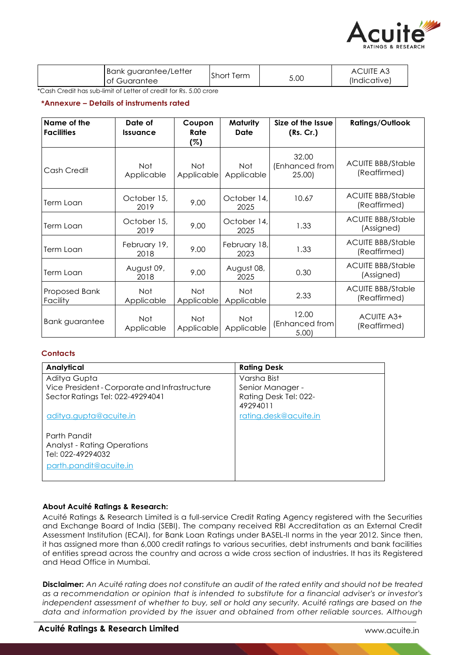

| Bank guarantee/Letter | Short | 5.00 | <b>ACUITE A3</b> |
|-----------------------|-------|------|------------------|
| I of Guarantee        | Term  |      | (Indicative)     |

\*Cash Credit has sub-limit of Letter of credit for Rs. 5.00 crore

## **\*Annexure – Details of instruments rated**

| Name of the<br><b>Facilities</b> | Date of<br><b>Issuance</b> | Coupon<br>Rate<br>(%)    | Maturity<br>Date         | Size of the Issue<br>(Rs. Cr.)    | <b>Ratings/Outlook</b>                   |
|----------------------------------|----------------------------|--------------------------|--------------------------|-----------------------------------|------------------------------------------|
| Cash Credit                      | <b>Not</b><br>Applicable   | <b>Not</b><br>Applicable | <b>Not</b><br>Applicable | 32.00<br>(Enhanced from<br>25.00) | <b>ACUITE BBB/Stable</b><br>(Reaffirmed) |
| Term Loan                        | October 15,<br>2019        | 9.00                     | October 14,<br>2025      | 10.67                             | <b>ACUITE BBB/Stable</b><br>(Reaffirmed) |
| Term Loan                        | October 15,<br>2019        | 9.00                     | October 14,<br>2025      | 1.33                              | <b>ACUITE BBB/Stable</b><br>(Assigned)   |
| Term Loan                        | February 19,<br>2018       | 9.00                     | February 18,<br>2023     | 1.33                              | <b>ACUITE BBB/Stable</b><br>(Reaffirmed) |
| Term Loan                        | August 09,<br>2018         | 9.00                     | August 08,<br>2025       | 0.30                              | <b>ACUITE BBB/Stable</b><br>(Assigned)   |
| Proposed Bank<br>Facility        | <b>Not</b><br>Applicable   | Not<br>Applicable        | <b>Not</b><br>Applicable | 2.33                              | <b>ACUITE BBB/Stable</b><br>(Reaffirmed) |
| Bank guarantee                   | <b>Not</b><br>Applicable   | Not.<br>Applicable       | <b>Not</b><br>Applicable | 12.00<br>(Enhanced from<br>5.00   | ACUITE A3+<br>(Reaffirmed)               |

## **Contacts**

| Analytical                                    | <b>Rating Desk</b>    |
|-----------------------------------------------|-----------------------|
| Aditya Gupta                                  | Varsha Bist           |
| Vice President - Corporate and Infrastructure | Senior Manager -      |
| Sector Ratings Tel: 022-49294041              | Rating Desk Tel: 022- |
|                                               | 49294011              |
| <u>aditya.gupta@acuite.in</u>                 | rating.desk@acuite.in |
|                                               |                       |
| Parth Pandit                                  |                       |
| <b>Analyst - Rating Operations</b>            |                       |
| Tel: 022-49294032                             |                       |
| parth.pandit@acuite.in                        |                       |
|                                               |                       |

#### **About Acuité Ratings & Research:**

Acuité Ratings & Research Limited is a full-service Credit Rating Agency registered with the Securities and Exchange Board of India (SEBI). The company received RBI Accreditation as an External Credit Assessment Institution (ECAI), for Bank Loan Ratings under BASEL-II norms in the year 2012. Since then, it has assigned more than 6,000 credit ratings to various securities, debt instruments and bank facilities of entities spread across the country and across a wide cross section of industries. It has its Registered and Head Office in Mumbai.

**Disclaimer:** An Acuité rating does not constitute an audit of the rated entity and should not be treated *as a recommendation or opinion that is intended to substitute for a financial adviser's or investor's*  independent assessment of whether to buy, sell or hold any security. Acuité ratings are based on the *data and information provided by the issuer and obtained from other reliable sources. Although*